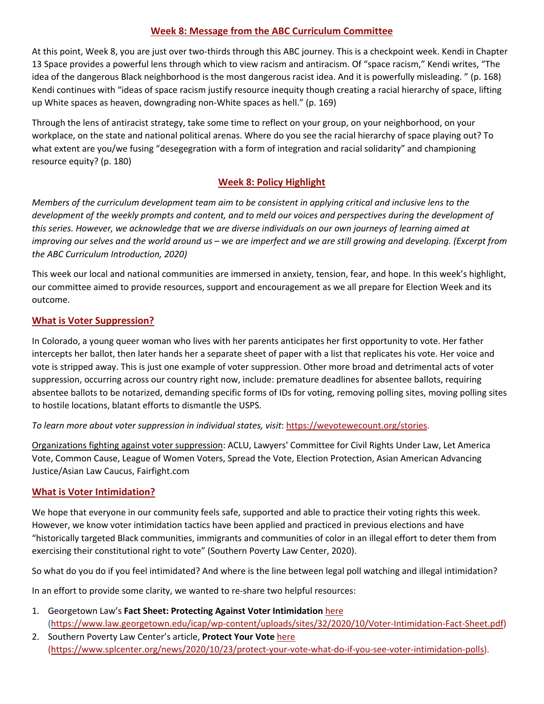## **Week 8: Message from the ABC Curriculum Committee**

At this point, Week 8, you are just over two-thirds through this ABC journey. This is a checkpoint week. Kendi in Chapter 13 Space provides a powerful lens through which to view racism and antiracism. Of "space racism," Kendi writes, "The idea of the dangerous Black neighborhood is the most dangerous racist idea. And it is powerfully misleading. " (p. 168) Kendi continues with "ideas of space racism justify resource inequity though creating a racial hierarchy of space, lifting up White spaces as heaven, downgrading non-White spaces as hell." (p. 169)

Through the lens of antiracist strategy, take some time to reflect on your group, on your neighborhood, on your workplace, on the state and national political arenas. Where do you see the racial hierarchy of space playing out? To what extent are you/we fusing "desegegration with a form of integration and racial solidarity" and championing resource equity? (p. 180)

## **Week 8: Policy Highlight**

*Members of the curriculum development team aim to be consistent in applying critical and inclusive lens to the development of the weekly prompts and content, and to meld our voices and perspectives during the development of this series. However, we acknowledge that we are diverse individuals on our own journeys of learning aimed at improving our selves and the world around us – we are imperfect and we are still growing and developing. (Excerpt from the ABC Curriculum Introduction, 2020)*

This week our local and national communities are immersed in anxiety, tension, fear, and hope. In this week's highlight, our committee aimed to provide resources, support and encouragement as we all prepare for Election Week and its outcome.

#### **What is Voter Suppression?**

In Colorado, a young queer woman who lives with her parents anticipates her first opportunity to vote. Her father intercepts her ballot, then later hands her a separate sheet of paper with a list that replicates his vote. Her voice and vote is stripped away. This is just one example of voter suppression. Other more broad and detrimental acts of voter suppression, occurring across our country right now, include: premature deadlines for absentee ballots, requiring absentee ballots to be notarized, demanding specific forms of IDs for voting, removing polling sites, moving polling sites to hostile locations, blatant efforts to dismantle the USPS.

#### *To learn more about voter suppression in individual states, visit*: https://wevotewecount.org/stories.

Organizations fighting against voter suppression: ACLU, Lawyers' Committee for Civil Rights Under Law, Let America Vote, Common Cause, League of Women Voters, Spread the Vote, Election Protection, Asian American Advancing Justice/Asian Law Caucus, Fairfight.com

#### **What is Voter Intimidation?**

We hope that everyone in our community feels safe, supported and able to practice their voting rights this week. However, we know voter intimidation tactics have been applied and practiced in previous elections and have "historically targeted Black communities, immigrants and communities of color in an illegal effort to deter them from exercising their constitutional right to vote" (Southern Poverty Law Center, 2020).

So what do you do if you feel intimidated? And where is the line between legal poll watching and illegal intimidation?

In an effort to provide some clarity, we wanted to re-share two helpful resources:

- 1. Georgetown Law's **Fact Sheet: Protecting Against Voter Intimidation** here (https://www.law.georgetown.edu/icap/wp-content/uploads/sites/32/2020/10/Voter-Intimidation-Fact-Sheet.pdf)
- 2. Southern Poverty Law Center's article, **Protect Your Vote** here (https://www.splcenter.org/news/2020/10/23/protect-your-vote-what-do-if-you-see-voter-intimidation-polls).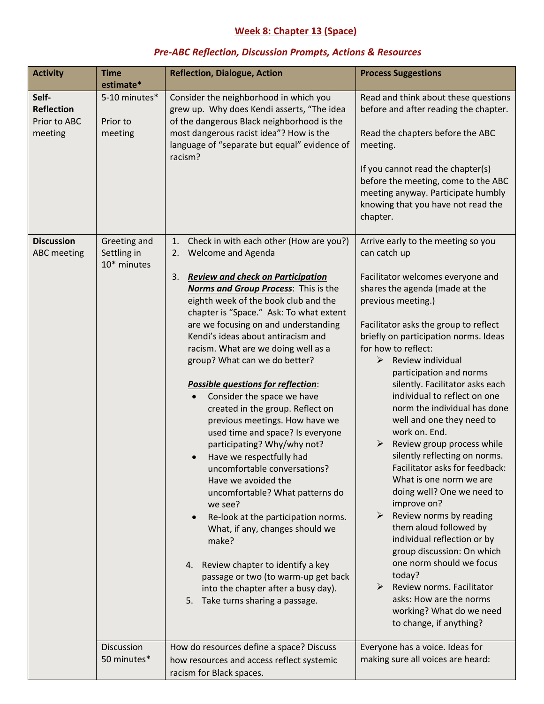# **Week 8: Chapter 13 (Space)**

## *Pre-ABC Reflection, Discussion Prompts, Actions & Resources*

| <b>Activity</b>                                       | <b>Time</b><br>estimate*                   | <b>Reflection, Dialogue, Action</b>                                                                                                                                                                                                                                                                                                                                                                                                                                                                                                                                                                                                                                                                                                                                                                                                                                                                                                                                                                                                                         | <b>Process Suggestions</b>                                                                                                                                                                                                                                                                                                                                                                                                                                                                                                                                                                                                                                                                                                                                                                                                                                                                                               |
|-------------------------------------------------------|--------------------------------------------|-------------------------------------------------------------------------------------------------------------------------------------------------------------------------------------------------------------------------------------------------------------------------------------------------------------------------------------------------------------------------------------------------------------------------------------------------------------------------------------------------------------------------------------------------------------------------------------------------------------------------------------------------------------------------------------------------------------------------------------------------------------------------------------------------------------------------------------------------------------------------------------------------------------------------------------------------------------------------------------------------------------------------------------------------------------|--------------------------------------------------------------------------------------------------------------------------------------------------------------------------------------------------------------------------------------------------------------------------------------------------------------------------------------------------------------------------------------------------------------------------------------------------------------------------------------------------------------------------------------------------------------------------------------------------------------------------------------------------------------------------------------------------------------------------------------------------------------------------------------------------------------------------------------------------------------------------------------------------------------------------|
| Self-<br><b>Reflection</b><br>Prior to ABC<br>meeting | 5-10 minutes*<br>Prior to<br>meeting       | Consider the neighborhood in which you<br>grew up. Why does Kendi asserts, "The idea<br>of the dangerous Black neighborhood is the<br>most dangerous racist idea"? How is the<br>language of "separate but equal" evidence of<br>racism?                                                                                                                                                                                                                                                                                                                                                                                                                                                                                                                                                                                                                                                                                                                                                                                                                    | Read and think about these questions<br>before and after reading the chapter.<br>Read the chapters before the ABC<br>meeting.<br>If you cannot read the chapter(s)<br>before the meeting, come to the ABC<br>meeting anyway. Participate humbly<br>knowing that you have not read the<br>chapter.                                                                                                                                                                                                                                                                                                                                                                                                                                                                                                                                                                                                                        |
| <b>Discussion</b><br><b>ABC</b> meeting               | Greeting and<br>Settling in<br>10* minutes | Check in with each other (How are you?)<br>1.<br><b>Welcome and Agenda</b><br>2.<br><b>Review and check on Participation</b><br>3.<br><b>Norms and Group Process:</b> This is the<br>eighth week of the book club and the<br>chapter is "Space." Ask: To what extent<br>are we focusing on and understanding<br>Kendi's ideas about antiracism and<br>racism. What are we doing well as a<br>group? What can we do better?<br><b>Possible questions for reflection:</b><br>Consider the space we have<br>created in the group. Reflect on<br>previous meetings. How have we<br>used time and space? Is everyone<br>participating? Why/why not?<br>Have we respectfully had<br>$\bullet$<br>uncomfortable conversations?<br>Have we avoided the<br>uncomfortable? What patterns do<br>we see?<br>Re-look at the participation norms.<br>$\bullet$<br>What, if any, changes should we<br>make?<br>Review chapter to identify a key<br>4.<br>passage or two (to warm-up get back<br>into the chapter after a busy day).<br>Take turns sharing a passage.<br>5. | Arrive early to the meeting so you<br>can catch up<br>Facilitator welcomes everyone and<br>shares the agenda (made at the<br>previous meeting.)<br>Facilitator asks the group to reflect<br>briefly on participation norms. Ideas<br>for how to reflect:<br>Review individual<br>➤<br>participation and norms<br>silently. Facilitator asks each<br>individual to reflect on one<br>norm the individual has done<br>well and one they need to<br>work on. End.<br>Review group process while<br>silently reflecting on norms.<br>Facilitator asks for feedback:<br>What is one norm we are<br>doing well? One we need to<br>improve on?<br>Review norms by reading<br>➤<br>them aloud followed by<br>individual reflection or by<br>group discussion: On which<br>one norm should we focus<br>today?<br>Review norms. Facilitator<br>➤<br>asks: How are the norms<br>working? What do we need<br>to change, if anything? |
|                                                       | Discussion<br>50 minutes*                  | How do resources define a space? Discuss<br>how resources and access reflect systemic<br>racism for Black spaces.                                                                                                                                                                                                                                                                                                                                                                                                                                                                                                                                                                                                                                                                                                                                                                                                                                                                                                                                           | Everyone has a voice. Ideas for<br>making sure all voices are heard:                                                                                                                                                                                                                                                                                                                                                                                                                                                                                                                                                                                                                                                                                                                                                                                                                                                     |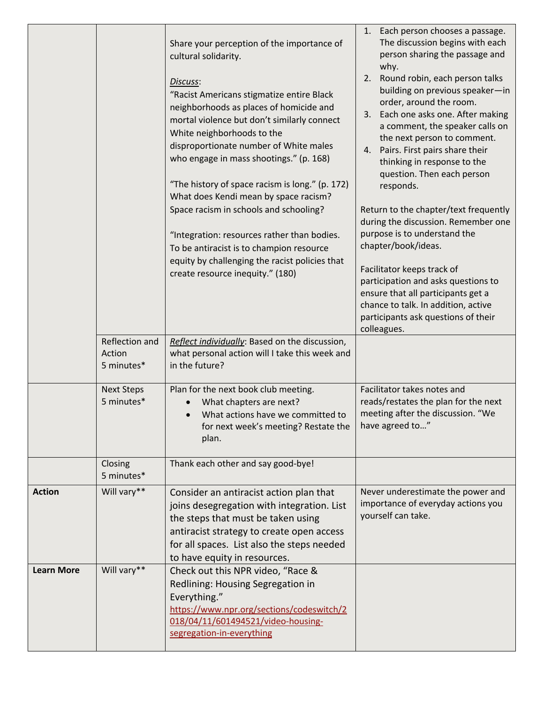|                   |                                        | Share your perception of the importance of<br>cultural solidarity.<br>Discuss:<br>"Racist Americans stigmatize entire Black<br>neighborhoods as places of homicide and<br>mortal violence but don't similarly connect<br>White neighborhoods to the<br>disproportionate number of White males<br>who engage in mass shootings." (p. 168)<br>"The history of space racism is long." (p. 172)<br>What does Kendi mean by space racism?<br>Space racism in schools and schooling?<br>"Integration: resources rather than bodies.<br>To be antiracist is to champion resource<br>equity by challenging the racist policies that<br>create resource inequity." (180) | 1. Each person chooses a passage.<br>The discussion begins with each<br>person sharing the passage and<br>why.<br>Round robin, each person talks<br>2.<br>building on previous speaker-in<br>order, around the room.<br>Each one asks one. After making<br>3.<br>a comment, the speaker calls on<br>the next person to comment.<br>Pairs. First pairs share their<br>4.<br>thinking in response to the<br>question. Then each person<br>responds.<br>Return to the chapter/text frequently<br>during the discussion. Remember one<br>purpose is to understand the<br>chapter/book/ideas.<br>Facilitator keeps track of<br>participation and asks questions to<br>ensure that all participants get a<br>chance to talk. In addition, active<br>participants ask questions of their<br>colleagues. |
|-------------------|----------------------------------------|-----------------------------------------------------------------------------------------------------------------------------------------------------------------------------------------------------------------------------------------------------------------------------------------------------------------------------------------------------------------------------------------------------------------------------------------------------------------------------------------------------------------------------------------------------------------------------------------------------------------------------------------------------------------|--------------------------------------------------------------------------------------------------------------------------------------------------------------------------------------------------------------------------------------------------------------------------------------------------------------------------------------------------------------------------------------------------------------------------------------------------------------------------------------------------------------------------------------------------------------------------------------------------------------------------------------------------------------------------------------------------------------------------------------------------------------------------------------------------|
|                   | Reflection and<br>Action<br>5 minutes* | Reflect individually: Based on the discussion,<br>what personal action will I take this week and<br>in the future?                                                                                                                                                                                                                                                                                                                                                                                                                                                                                                                                              |                                                                                                                                                                                                                                                                                                                                                                                                                                                                                                                                                                                                                                                                                                                                                                                                  |
|                   | <b>Next Steps</b><br>5 minutes*        | Plan for the next book club meeting.<br>What chapters are next?<br>What actions have we committed to<br>for next week's meeting? Restate the<br>plan.                                                                                                                                                                                                                                                                                                                                                                                                                                                                                                           | Facilitator takes notes and<br>reads/restates the plan for the next<br>meeting after the discussion. "We<br>have agreed to"                                                                                                                                                                                                                                                                                                                                                                                                                                                                                                                                                                                                                                                                      |
|                   | Closing<br>5 minutes*                  | Thank each other and say good-bye!                                                                                                                                                                                                                                                                                                                                                                                                                                                                                                                                                                                                                              |                                                                                                                                                                                                                                                                                                                                                                                                                                                                                                                                                                                                                                                                                                                                                                                                  |
| <b>Action</b>     | Will vary**                            | Consider an antiracist action plan that<br>joins desegregation with integration. List<br>the steps that must be taken using<br>antiracist strategy to create open access<br>for all spaces. List also the steps needed<br>to have equity in resources.                                                                                                                                                                                                                                                                                                                                                                                                          | Never underestimate the power and<br>importance of everyday actions you<br>yourself can take.                                                                                                                                                                                                                                                                                                                                                                                                                                                                                                                                                                                                                                                                                                    |
| <b>Learn More</b> | Will vary**                            | Check out this NPR video, "Race &<br>Redlining: Housing Segregation in<br>Everything."                                                                                                                                                                                                                                                                                                                                                                                                                                                                                                                                                                          |                                                                                                                                                                                                                                                                                                                                                                                                                                                                                                                                                                                                                                                                                                                                                                                                  |